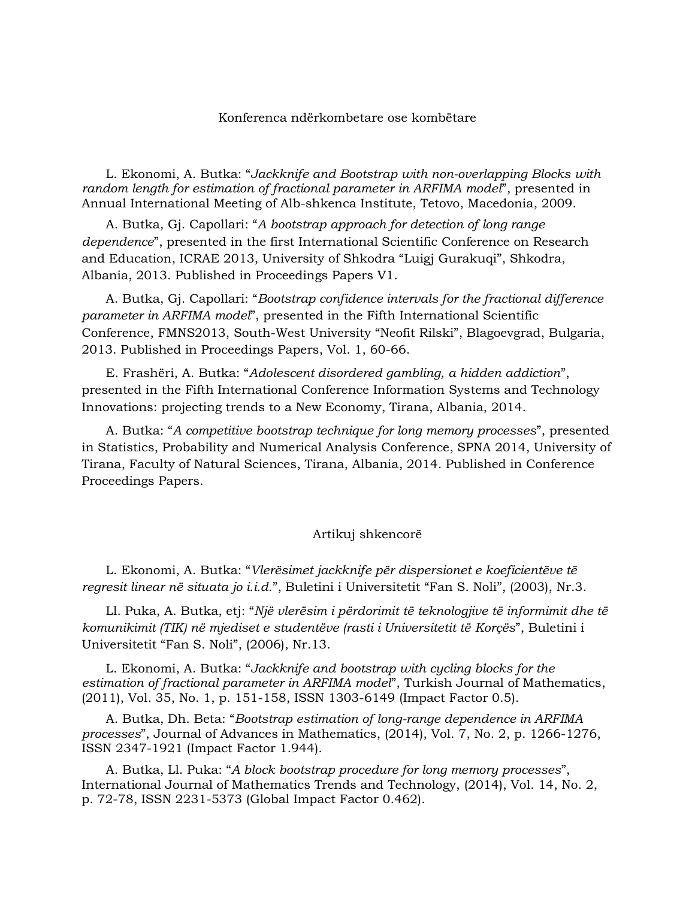## Konferenca ndërkombetare ose kombëtare

L. Ekonomi, A. Butka: "*Jackknife and Bootstrap with non-overlapping Blocks with random length for estimation of fractional parameter in ARFIMA model*", presented in Annual International Meeting of Alb-shkenca Institute, Tetovo, Macedonia, 2009.

A. Butka, Gj. Capollari: "*A bootstrap approach for detection of long range dependence*", presented in the first International Scientific Conference on Research and Education, ICRAE 2013, University of Shkodra "Luigj Gurakuqi", Shkodra, Albania, 2013. Published in Proceedings Papers V1.

A. Butka, Gj. Capollari: "*Bootstrap confidence intervals for the fractional difference parameter in ARFIMA model*", presented in the Fifth International Scientific Conference, FMNS2013, South-West University "Neofit Rilski", Blagoevgrad, Bulgaria, 2013. Published in Proceedings Papers, Vol. 1, 60-66.

E. Frashëri, A. Butka: "*Adolescent disordered gambling, a hidden addiction*", presented in the Fifth International Conference Information Systems and Technology Innovations: projecting trends to a New Economy, Tirana, Albania, 2014.

A. Butka: "*A competitive bootstrap technique for long memory processes*", presented in Statistics, Probability and Numerical Analysis Conference, SPNA 2014, University of Tirana, Faculty of Natural Sciences, Tirana, Albania, 2014. Published in Conference Proceedings Papers.

## Artikuj shkencorë

L. Ekonomi, A. Butka: "*Vlerësimet jackknife për dispersionet e koeficientëve të regresit linear në situata jo i.i.d.*", Buletini i Universitetit "Fan S. Noli", (2003), Nr.3.

Ll. Puka, A. Butka, etj: "*Një vlerësim i përdorimit të teknologjive të informimit dhe të komunikimit (TIK) në mjediset e studentëve (rasti i Universitetit të Korçës*", Buletini i Universitetit "Fan S. Noli", (2006), Nr.13.

L. Ekonomi, A. Butka: "*Jackknife and bootstrap with cycling blocks for the estimation of fractional parameter in ARFIMA model*", Turkish Journal of Mathematics, (2011), Vol. 35, No. 1, p. 151-158, ISSN 1303-6149 (Impact Factor 0.5).

A. Butka, Dh. Beta: "*Bootstrap estimation of long-range dependence in ARFIMA processes*", Journal of Advances in Mathematics, (2014), Vol. 7, No. 2, p. 1266-1276, ISSN 2347-1921 (Impact Factor 1.944).

A. Butka, Ll. Puka: "*A block bootstrap procedure for long memory processes*", International Journal of Mathematics Trends and Technology, (2014), Vol. 14, No. 2, p. 72-78, ISSN 2231-5373 (Global Impact Factor 0.462).